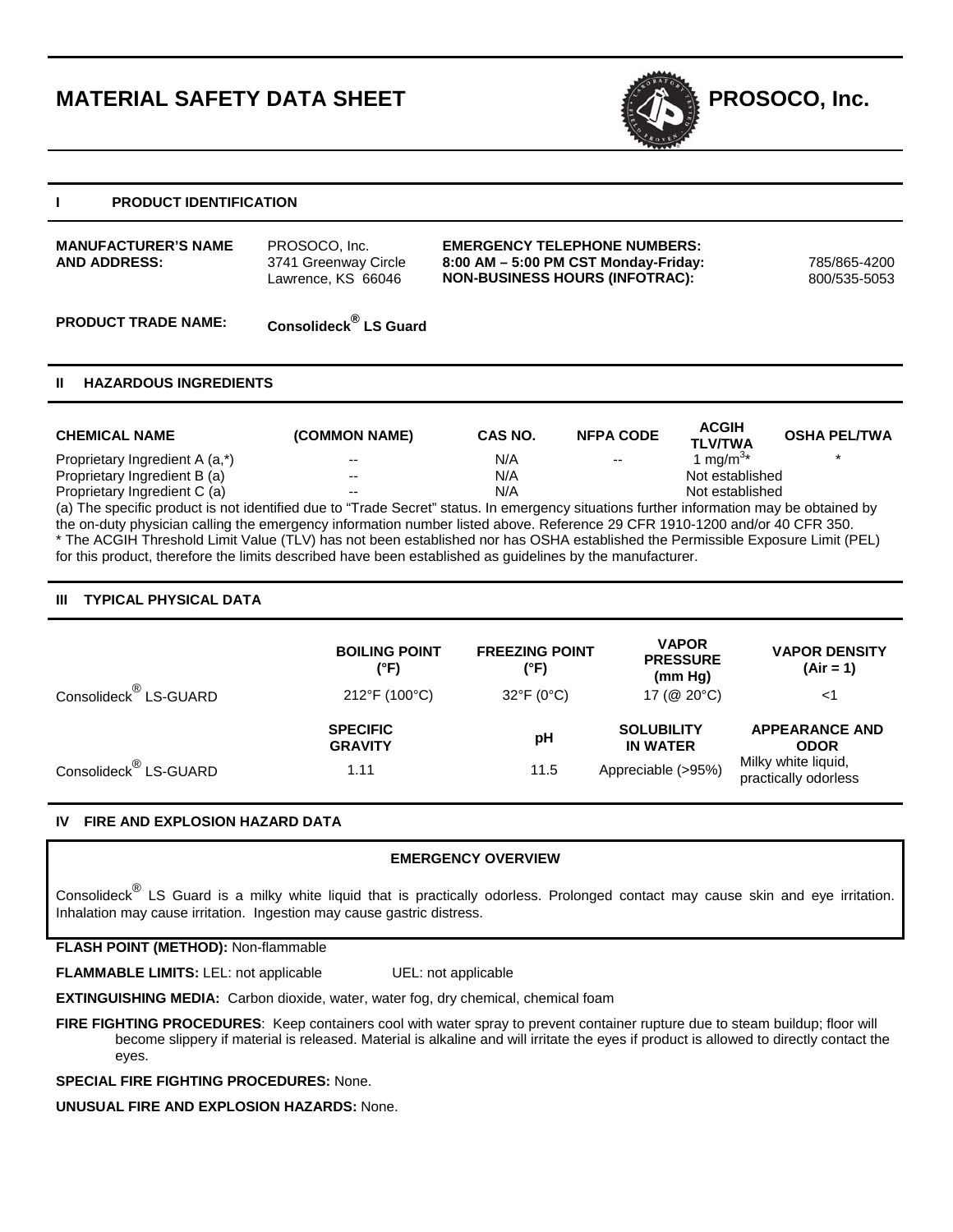# **MATERIAL SAFETY DATA SHEET PROSOCO, Inc.**



## **I PRODUCT IDENTIFICATION**

| <b>MANUFACTURER'S NAME</b><br><b>AND ADDRESS:</b> | PROSOCO, Inc.<br>3741 Greenway Circle<br>Lawrence, KS 66046 | <b>EMERGENCY TELEPHONE NUMBERS:</b><br>$8:00$ AM $-5:00$ PM CST Monday-Friday:<br><b>NON-BUSINESS HOURS (INFOTRAC):</b> | 785/865-4200<br>800/535-5053 |
|---------------------------------------------------|-------------------------------------------------------------|-------------------------------------------------------------------------------------------------------------------------|------------------------------|
|                                                   |                                                             |                                                                                                                         |                              |

# **PRODUCT TRADE NAME: Consolideck® LS Guard**

# **II HAZARDOUS INGREDIENTS**

| <b>CHEMICAL NAME</b>                                                                                                                    | (COMMON NAME) | CAS NO. | <b>NFPA CODE</b> | <b>ACGIH</b><br><b>TLV/TWA</b> | <b>OSHA PEL/TWA</b> |  |
|-----------------------------------------------------------------------------------------------------------------------------------------|---------------|---------|------------------|--------------------------------|---------------------|--|
| Proprietary Ingredient A (a,*)                                                                                                          | $- -$         | N/A     | $- -$            | 1 mg/m <sup>3*</sup>           |                     |  |
| Proprietary Ingredient B (a)                                                                                                            | $- -$         | N/A     |                  | Not established                |                     |  |
| Proprietary Ingredient C (a)                                                                                                            | --            | N/A     |                  | Not established                |                     |  |
| (a) The specific product is not identified due to "Trade Secret" status. In emergency situations further information may be obtained by |               |         |                  |                                |                     |  |
| the on-duty physician calling the emergency information number listed above. Reference 29 CFR 1910-1200 and/or 40 CFR 350.              |               |         |                  |                                |                     |  |

\* The ACGIH Threshold Limit Value (TLV) has not been established nor has OSHA established the Permissible Exposure Limit (PEL) for this product, therefore the limits described have been established as guidelines by the manufacturer.

# **III TYPICAL PHYSICAL DATA**

|                                   | <b>BOILING POINT</b><br>(°F)      | <b>FREEZING POINT</b><br>(°F) | <b>VAPOR</b><br><b>PRESSURE</b><br>(mm Hg) | <b>VAPOR DENSITY</b><br>$(Air = 1)$         |
|-----------------------------------|-----------------------------------|-------------------------------|--------------------------------------------|---------------------------------------------|
| Consolideck <sup>®</sup> LS-GUARD | 212°F (100°C)                     | $32^{\circ}F(0^{\circ}C)$     | 17 (@ 20°C)                                | <1                                          |
|                                   | <b>SPECIFIC</b><br><b>GRAVITY</b> | рH                            | <b>SOLUBILITY</b><br><b>IN WATER</b>       | <b>APPEARANCE AND</b><br><b>ODOR</b>        |
| Consolideck <sup>®</sup> LS-GUARD | 1.11                              | 11.5                          | Appreciable (>95%)                         | Milky white liquid,<br>practically odorless |

# **IV FIRE AND EXPLOSION HAZARD DATA**

# **EMERGENCY OVERVIEW**

Consolideck® LS Guard is a milky white liquid that is practically odorless. Prolonged contact may cause skin and eye irritation. Inhalation may cause irritation. Ingestion may cause gastric distress.

## **FLASH POINT (METHOD):** Non-flammable

**FLAMMABLE LIMITS:** LEL: not applicable UEL: not applicable

**EXTINGUISHING MEDIA:** Carbon dioxide, water, water fog, dry chemical, chemical foam

**FIRE FIGHTING PROCEDURES**: Keep containers cool with water spray to prevent container rupture due to steam buildup; floor will become slippery if material is released. Material is alkaline and will irritate the eyes if product is allowed to directly contact the eyes.

**SPECIAL FIRE FIGHTING PROCEDURES:** None.

**UNUSUAL FIRE AND EXPLOSION HAZARDS:** None.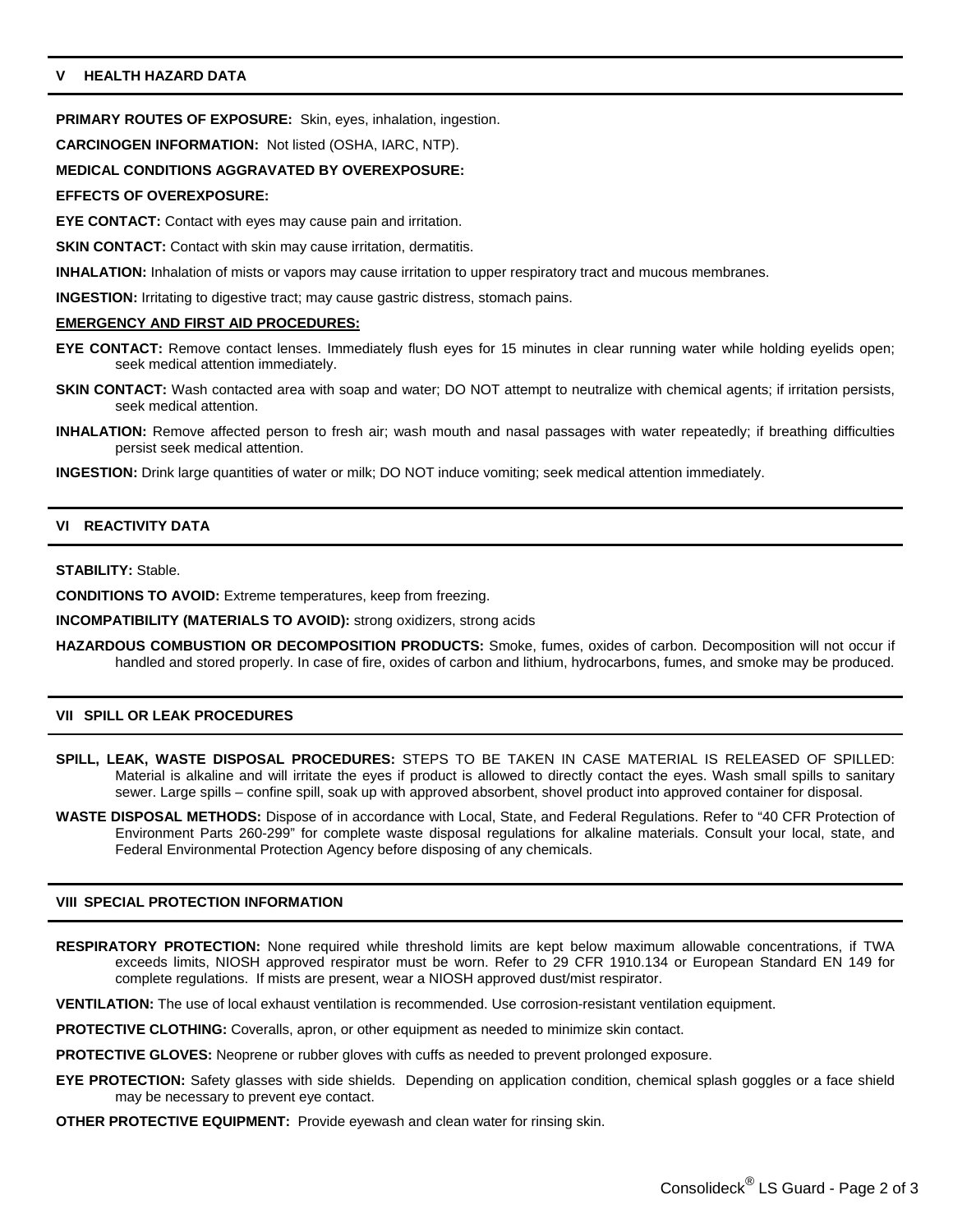# **V HEALTH HAZARD DATA**

**PRIMARY ROUTES OF EXPOSURE:** Skin, eyes, inhalation, ingestion.

**CARCINOGEN INFORMATION:** Not listed (OSHA, IARC, NTP).

## **MEDICAL CONDITIONS AGGRAVATED BY OVEREXPOSURE:**

#### **EFFECTS OF OVEREXPOSURE:**

**EYE CONTACT:** Contact with eyes may cause pain and irritation.

**SKIN CONTACT:** Contact with skin may cause irritation, dermatitis.

**INHALATION:** Inhalation of mists or vapors may cause irritation to upper respiratory tract and mucous membranes.

**INGESTION:** Irritating to digestive tract; may cause gastric distress, stomach pains.

## **EMERGENCY AND FIRST AID PROCEDURES:**

- **EYE CONTACT:** Remove contact lenses. Immediately flush eyes for 15 minutes in clear running water while holding eyelids open; seek medical attention immediately.
- **SKIN CONTACT:** Wash contacted area with soap and water; DO NOT attempt to neutralize with chemical agents; if irritation persists, seek medical attention.
- **INHALATION:** Remove affected person to fresh air; wash mouth and nasal passages with water repeatedly; if breathing difficulties persist seek medical attention.

**INGESTION:** Drink large quantities of water or milk; DO NOT induce vomiting; seek medical attention immediately.

## **VI REACTIVITY DATA**

#### **STABILITY:** Stable.

**CONDITIONS TO AVOID:** Extreme temperatures, keep from freezing.

**INCOMPATIBILITY (MATERIALS TO AVOID):** strong oxidizers, strong acids

**HAZARDOUS COMBUSTION OR DECOMPOSITION PRODUCTS:** Smoke, fumes, oxides of carbon. Decomposition will not occur if handled and stored properly. In case of fire, oxides of carbon and lithium, hydrocarbons, fumes, and smoke may be produced.

## **VII SPILL OR LEAK PROCEDURES**

- **SPILL, LEAK, WASTE DISPOSAL PROCEDURES:** STEPS TO BE TAKEN IN CASE MATERIAL IS RELEASED OF SPILLED: Material is alkaline and will irritate the eyes if product is allowed to directly contact the eyes. Wash small spills to sanitary sewer. Large spills – confine spill, soak up with approved absorbent, shovel product into approved container for disposal.
- **WASTE DISPOSAL METHODS:** Dispose of in accordance with Local, State, and Federal Regulations. Refer to "40 CFR Protection of Environment Parts 260-299" for complete waste disposal regulations for alkaline materials. Consult your local, state, and Federal Environmental Protection Agency before disposing of any chemicals.

## **VIII SPECIAL PROTECTION INFORMATION**

**RESPIRATORY PROTECTION:** None required while threshold limits are kept below maximum allowable concentrations, if TWA exceeds limits, NIOSH approved respirator must be worn. Refer to 29 CFR 1910.134 or European Standard EN 149 for complete regulations. If mists are present, wear a NIOSH approved dust/mist respirator.

**VENTILATION:** The use of local exhaust ventilation is recommended. Use corrosion-resistant ventilation equipment.

- **PROTECTIVE CLOTHING:** Coveralls, apron, or other equipment as needed to minimize skin contact.
- **PROTECTIVE GLOVES:** Neoprene or rubber gloves with cuffs as needed to prevent prolonged exposure.
- **EYE PROTECTION:** Safety glasses with side shields. Depending on application condition, chemical splash goggles or a face shield may be necessary to prevent eye contact.
- **OTHER PROTECTIVE EQUIPMENT:** Provide eyewash and clean water for rinsing skin.